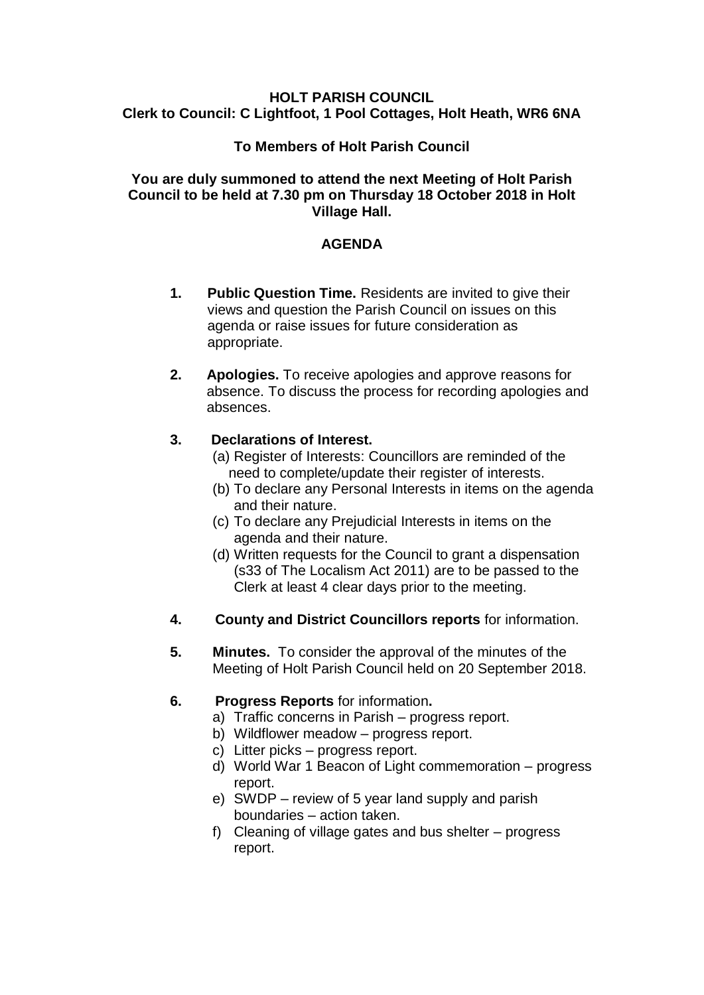### **HOLT PARISH COUNCIL Clerk to Council: C Lightfoot, 1 Pool Cottages, Holt Heath, WR6 6NA**

## **To Members of Holt Parish Council**

### **You are duly summoned to attend the next Meeting of Holt Parish Council to be held at 7.30 pm on Thursday 18 October 2018 in Holt Village Hall.**

## **AGENDA**

- **1. Public Question Time.** Residents are invited to give their views and question the Parish Council on issues on this agenda or raise issues for future consideration as appropriate.
- **2. Apologies.** To receive apologies and approve reasons for absence. To discuss the process for recording apologies and absences.

## **3. Declarations of Interest.**

- (a) Register of Interests: Councillors are reminded of the need to complete/update their register of interests.
- (b) To declare any Personal Interests in items on the agenda and their nature.
- (c) To declare any Prejudicial Interests in items on the agenda and their nature.
- (d) Written requests for the Council to grant a dispensation (s33 of The Localism Act 2011) are to be passed to the Clerk at least 4 clear days prior to the meeting.
- **4. County and District Councillors reports** for information.
- **5. Minutes.** To consider the approval of the minutes of the Meeting of Holt Parish Council held on 20 September 2018.

### **6. Progress Reports** for information**.**

- a) Traffic concerns in Parish progress report.
- b) Wildflower meadow progress report.
- c) Litter picks progress report.
- d) World War 1 Beacon of Light commemoration progress report.
- e) SWDP review of 5 year land supply and parish boundaries – action taken.
- f) Cleaning of village gates and bus shelter progress report.